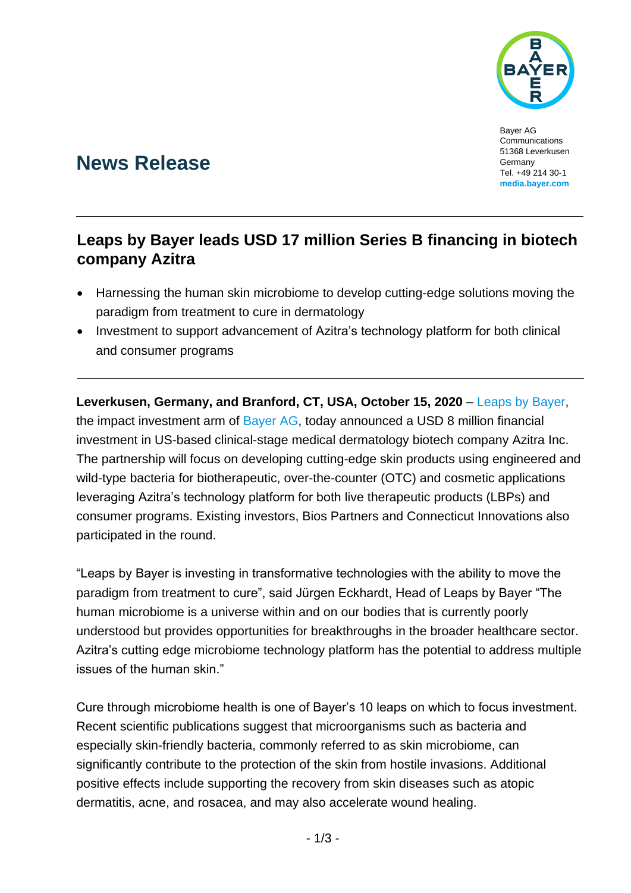

Bayer AG Communications 51368 Leverkusen Germany Tel. +49 214 30-1 **[media.bayer.com](http://media.bayer.de/)**

# **News Release**

## **Leaps by Bayer leads USD 17 million Series B financing in biotech company Azitra**

- Harnessing the human skin microbiome to develop cutting-edge solutions moving the paradigm from treatment to cure in dermatology
- Investment to support advancement of Azitra's technology platform for both clinical and consumer programs

**Leverkusen, Germany, and Branford, CT, USA, October 15, 2020** – [Leaps by Bayer,](https://leaps.bayer.com/) the impact investment arm of [Bayer AG,](http://www.bayer.com/) today announced a USD 8 million financial investment in US-based clinical-stage medical dermatology biotech company Azitra Inc. The partnership will focus on developing cutting-edge skin products using engineered and wild-type bacteria for biotherapeutic, over-the-counter (OTC) and cosmetic applications leveraging Azitra's technology platform for both live therapeutic products (LBPs) and consumer programs. Existing investors, Bios Partners and Connecticut Innovations also participated in the round.

"Leaps by Bayer is investing in transformative technologies with the ability to move the paradigm from treatment to cure", said Jürgen Eckhardt, Head of Leaps by Bayer "The human microbiome is a universe within and on our bodies that is currently poorly understood but provides opportunities for breakthroughs in the broader healthcare sector. Azitra's cutting edge microbiome technology platform has the potential to address multiple issues of the human skin."

Cure through microbiome health is one of Bayer's 10 leaps on which to focus investment. Recent scientific publications suggest that microorganisms such as bacteria and especially skin-friendly bacteria, commonly referred to as skin microbiome, can significantly contribute to the protection of the skin from hostile invasions. Additional positive effects include supporting the recovery from skin diseases such as atopic dermatitis, acne, and rosacea, and may also accelerate wound healing.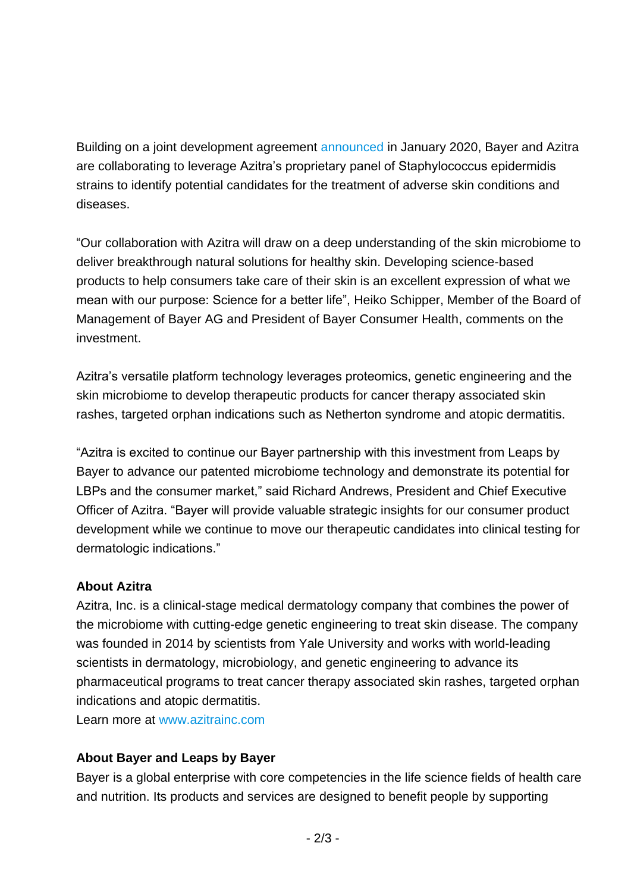Building on a joint development agreement [announced](https://media.bayer.com/baynews/baynews.nsf/id/Bayer-Azitra-partner-harness-human-microbiome-a-source-natural-products-sensitive-eczema-prone) in January 2020, Bayer and Azitra are collaborating to leverage Azitra's proprietary panel of Staphylococcus epidermidis strains to identify potential candidates for the treatment of adverse skin conditions and diseases.

"Our collaboration with Azitra will draw on a deep understanding of the skin microbiome to deliver breakthrough natural solutions for healthy skin. Developing science-based products to help consumers take care of their skin is an excellent expression of what we mean with our purpose: Science for a better life", Heiko Schipper, Member of the Board of Management of Bayer AG and President of Bayer Consumer Health, comments on the investment.

Azitra's versatile platform technology leverages proteomics, genetic engineering and the skin microbiome to develop therapeutic products for cancer therapy associated skin rashes, targeted orphan indications such as Netherton syndrome and atopic dermatitis.

"Azitra is excited to continue our Bayer partnership with this investment from Leaps by Bayer to advance our patented microbiome technology and demonstrate its potential for LBPs and the consumer market," said Richard Andrews, President and Chief Executive Officer of Azitra. "Bayer will provide valuable strategic insights for our consumer product development while we continue to move our therapeutic candidates into clinical testing for dermatologic indications."

### **About Azitra**

Azitra, Inc. is a clinical-stage medical dermatology company that combines the power of the microbiome with cutting-edge genetic engineering to treat skin disease. The company was founded in 2014 by scientists from Yale University and works with world-leading scientists in dermatology, microbiology, and genetic engineering to advance its pharmaceutical programs to treat cancer therapy associated skin rashes, targeted orphan indications and atopic dermatitis.

Learn more at [www.azitrainc.com](http://www.azitrainc.com/)

## **About Bayer and Leaps by Bayer**

Bayer is a global enterprise with core competencies in the life science fields of health care and nutrition. Its products and services are designed to benefit people by supporting